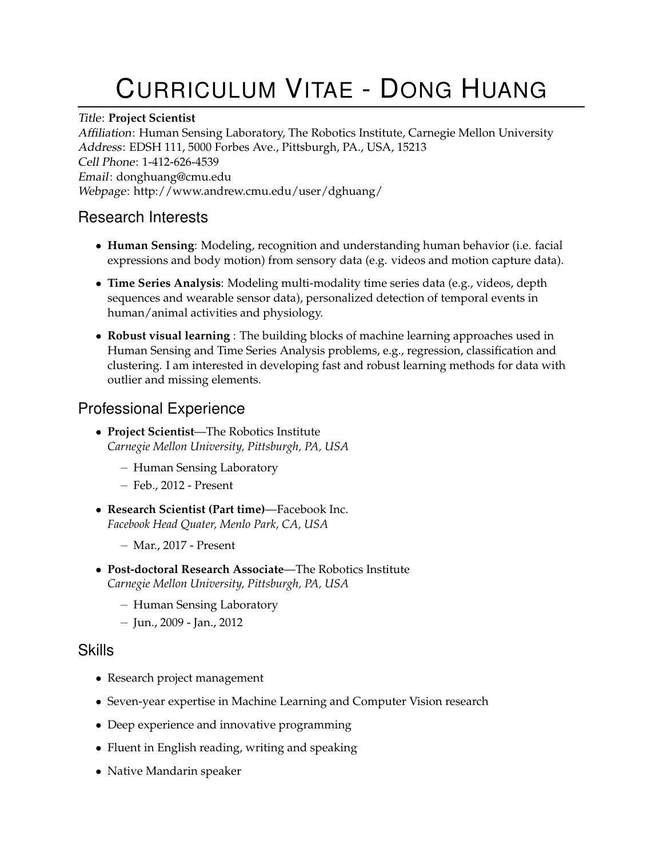# CURRICULUM VITAE - DONG HUANG

#### Title: **Project Scientist**

Affiliation: Human Sensing Laboratory, The Robotics Institute, Carnegie Mellon University Address: EDSH 111, 5000 Forbes Ave., Pittsburgh, PA., USA, 15213 Cell Phone: 1-412-626-4539 Email: donghuang@cmu.edu Webpage: http://www.andrew.cmu.edu/user/dghuang/

#### Research Interests

- **Human Sensing**: Modeling, recognition and understanding human behavior (i.e. facial expressions and body motion) from sensory data (e.g. videos and motion capture data).
- **Time Series Analysis**: Modeling multi-modality time series data (e.g., videos, depth sequences and wearable sensor data), personalized detection of temporal events in human/animal activities and physiology.
- **Robust visual learning** : The building blocks of machine learning approaches used in Human Sensing and Time Series Analysis problems, e.g., regression, classification and clustering. I am interested in developing fast and robust learning methods for data with outlier and missing elements.

# Professional Experience

- **Project Scientist**—The Robotics Institute *Carnegie Mellon University, Pittsburgh, PA, USA*
	- Human Sensing Laboratory
	- Feb., 2012 Present
- **Research Scientist (Part time)**—Facebook Inc. *Facebook Head Quater, Menlo Park, CA, USA*
	- Mar., 2017 Present
- **Post-doctoral Research Associate**—The Robotics Institute *Carnegie Mellon University, Pittsburgh, PA, USA*
	- Human Sensing Laboratory
	- Jun., 2009 Jan., 2012

#### Skills

- Research project management
- Seven-year expertise in Machine Learning and Computer Vision research
- Deep experience and innovative programming
- Fluent in English reading, writing and speaking
- Native Mandarin speaker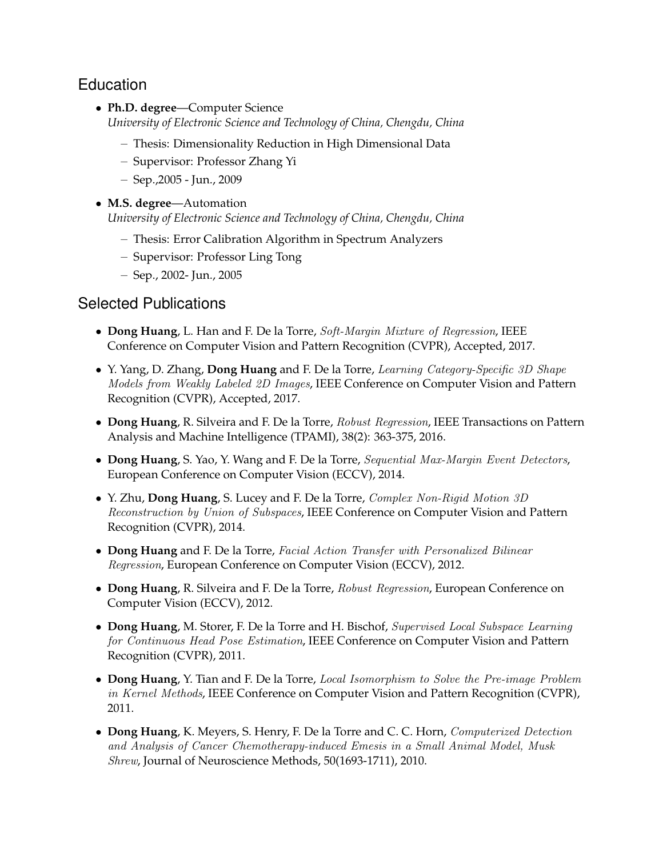# Education

- **Ph.D. degree**—Computer Science *University of Electronic Science and Technology of China, Chengdu, China*
	- Thesis: Dimensionality Reduction in High Dimensional Data
	- Supervisor: Professor Zhang Yi
	- Sep.,2005 Jun., 2009
- **M.S. degree**—Automation *University of Electronic Science and Technology of China, Chengdu, China*
	- Thesis: Error Calibration Algorithm in Spectrum Analyzers
	- Supervisor: Professor Ling Tong
	- Sep., 2002- Jun., 2005

#### Selected Publications

- **Dong Huang**, L. Han and F. De la Torre, Soft-Margin Mixture of Regression, IEEE Conference on Computer Vision and Pattern Recognition (CVPR), Accepted, 2017.
- Y. Yang, D. Zhang, **Dong Huang** and F. De la Torre, Learning Category-Specific 3D Shape Models from Weakly Labeled 2D Images, IEEE Conference on Computer Vision and Pattern Recognition (CVPR), Accepted, 2017.
- **Dong Huang**, R. Silveira and F. De la Torre, Robust Regression, IEEE Transactions on Pattern Analysis and Machine Intelligence (TPAMI), 38(2): 363-375, 2016.
- **Dong Huang**, S. Yao, Y. Wang and F. De la Torre, Sequential Max-Margin Event Detectors, European Conference on Computer Vision (ECCV), 2014.
- Y. Zhu, **Dong Huang**, S. Lucey and F. De la Torre, Complex Non-Rigid Motion 3D Reconstruction by Union of Subspaces, IEEE Conference on Computer Vision and Pattern Recognition (CVPR), 2014.
- **Dong Huang** and F. De la Torre, Facial Action Transfer with Personalized Bilinear Regression, European Conference on Computer Vision (ECCV), 2012.
- **Dong Huang**, R. Silveira and F. De la Torre, Robust Regression, European Conference on Computer Vision (ECCV), 2012.
- **Dong Huang**, M. Storer, F. De la Torre and H. Bischof, Supervised Local Subspace Learning for Continuous Head Pose Estimation, IEEE Conference on Computer Vision and Pattern Recognition (CVPR), 2011.
- **Dong Huang**, Y. Tian and F. De la Torre, Local Isomorphism to Solve the Pre-image Problem in Kernel Methods, IEEE Conference on Computer Vision and Pattern Recognition (CVPR), 2011.
- **Dong Huang**, K. Meyers, S. Henry, F. De la Torre and C. C. Horn, Computerized Detection and Analysis of Cancer Chemotherapy-induced Emesis in a Small Animal Model, Musk Shrew, Journal of Neuroscience Methods, 50(1693-1711), 2010.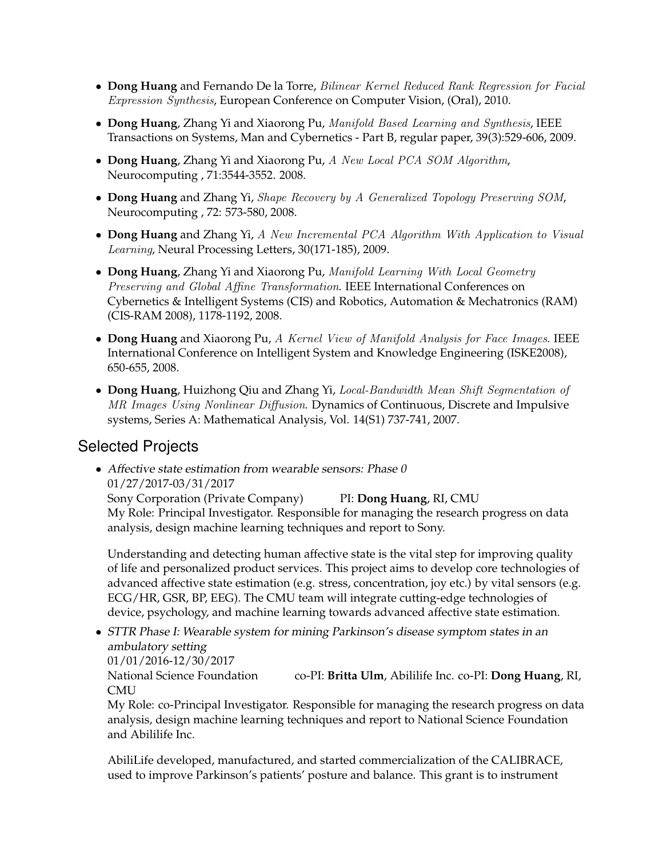- **Dong Huang** and Fernando De la Torre, Bilinear Kernel Reduced Rank Regression for Facial Expression Synthesis, European Conference on Computer Vision, (Oral), 2010.
- **Dong Huang**, Zhang Yi and Xiaorong Pu, Manifold Based Learning and Synthesis, IEEE Transactions on Systems, Man and Cybernetics - Part B, regular paper, 39(3):529-606, 2009.
- **Dong Huang**, Zhang Yi and Xiaorong Pu, A New Local PCA SOM Algorithm, Neurocomputing , 71:3544-3552. 2008.
- **Dong Huang** and Zhang Yi, Shape Recovery by A Generalized Topology Preserving SOM, Neurocomputing , 72: 573-580, 2008.
- **Dong Huang** and Zhang Yi, A New Incremental PCA Algorithm With Application to Visual Learning, Neural Processing Letters, 30(171-185), 2009.
- **Dong Huang**, Zhang Yi and Xiaorong Pu, Manifold Learning With Local Geometry Preserving and Global Affine Transformation. IEEE International Conferences on Cybernetics & Intelligent Systems (CIS) and Robotics, Automation & Mechatronics (RAM) (CIS-RAM 2008), 1178-1192, 2008.
- **Dong Huang** and Xiaorong Pu, A Kernel View of Manifold Analysis for Face Images. IEEE International Conference on Intelligent System and Knowledge Engineering (ISKE2008), 650-655, 2008.
- **Dong Huang**, Huizhong Qiu and Zhang Yi, Local-Bandwidth Mean Shift Segmentation of MR Images Using Nonlinear Diffusion. Dynamics of Continuous, Discrete and Impulsive systems, Series A: Mathematical Analysis, Vol. 14(S1) 737-741, 2007.

# Selected Projects

• Affective state estimation from wearable sensors: Phase 0 01/27/2017-03/31/2017

Sony Corporation (Private Company) PI: **Dong Huang**, RI, CMU My Role: Principal Investigator. Responsible for managing the research progress on data analysis, design machine learning techniques and report to Sony.

Understanding and detecting human affective state is the vital step for improving quality of life and personalized product services. This project aims to develop core technologies of advanced affective state estimation (e.g. stress, concentration, joy etc.) by vital sensors (e.g. ECG/HR, GSR, BP, EEG). The CMU team will integrate cutting-edge technologies of device, psychology, and machine learning towards advanced affective state estimation.

• STTR Phase I: Wearable system for mining Parkinson's disease symptom states in an ambulatory setting 01/01/2016-12/30/2017 National Science Foundation co-PI: **Britta Ulm**, Abililife Inc. co-PI: **Dong Huang**, RI, CMU

My Role: co-Principal Investigator. Responsible for managing the research progress on data analysis, design machine learning techniques and report to National Science Foundation and Abililife Inc.

AbiliLife developed, manufactured, and started commercialization of the CALIBRACE, used to improve Parkinson's patients' posture and balance. This grant is to instrument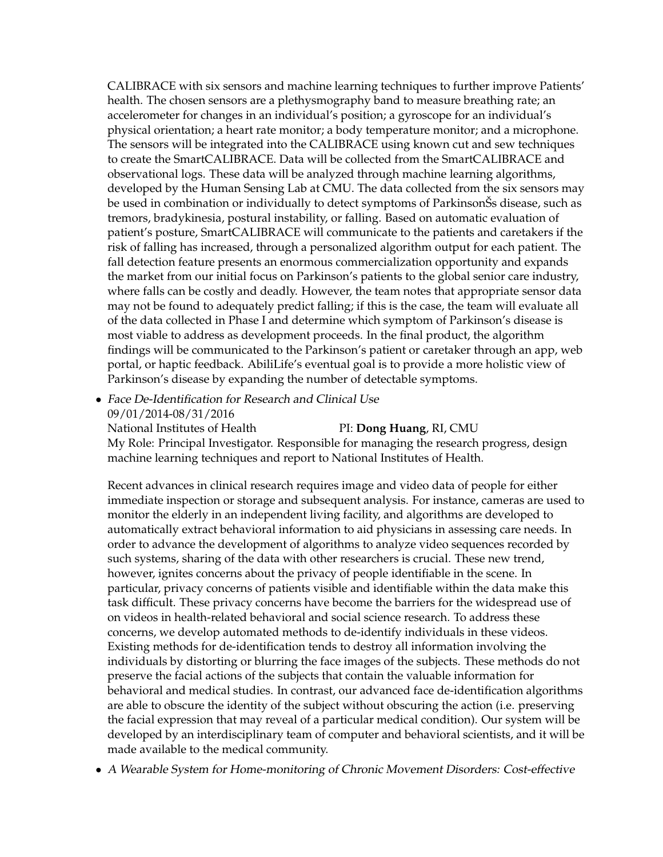CALIBRACE with six sensors and machine learning techniques to further improve Patients' health. The chosen sensors are a plethysmography band to measure breathing rate; an accelerometer for changes in an individual's position; a gyroscope for an individual's physical orientation; a heart rate monitor; a body temperature monitor; and a microphone. The sensors will be integrated into the CALIBRACE using known cut and sew techniques to create the SmartCALIBRACE. Data will be collected from the SmartCALIBRACE and observational logs. These data will be analyzed through machine learning algorithms, developed by the Human Sensing Lab at CMU. The data collected from the six sensors may be used in combination or individually to detect symptoms of ParkinsonŠs disease, such as tremors, bradykinesia, postural instability, or falling. Based on automatic evaluation of patient's posture, SmartCALIBRACE will communicate to the patients and caretakers if the risk of falling has increased, through a personalized algorithm output for each patient. The fall detection feature presents an enormous commercialization opportunity and expands the market from our initial focus on Parkinson's patients to the global senior care industry, where falls can be costly and deadly. However, the team notes that appropriate sensor data may not be found to adequately predict falling; if this is the case, the team will evaluate all of the data collected in Phase I and determine which symptom of Parkinson's disease is most viable to address as development proceeds. In the final product, the algorithm findings will be communicated to the Parkinson's patient or caretaker through an app, web portal, or haptic feedback. AbiliLife's eventual goal is to provide a more holistic view of Parkinson's disease by expanding the number of detectable symptoms.

• Face De-Identification for Research and Clinical Use 09/01/2014-08/31/2016 National Institutes of Health PI: **Dong Huang**, RI, CMU

My Role: Principal Investigator. Responsible for managing the research progress, design machine learning techniques and report to National Institutes of Health.

Recent advances in clinical research requires image and video data of people for either immediate inspection or storage and subsequent analysis. For instance, cameras are used to monitor the elderly in an independent living facility, and algorithms are developed to automatically extract behavioral information to aid physicians in assessing care needs. In order to advance the development of algorithms to analyze video sequences recorded by such systems, sharing of the data with other researchers is crucial. These new trend, however, ignites concerns about the privacy of people identifiable in the scene. In particular, privacy concerns of patients visible and identifiable within the data make this task difficult. These privacy concerns have become the barriers for the widespread use of on videos in health-related behavioral and social science research. To address these concerns, we develop automated methods to de-identify individuals in these videos. Existing methods for de-identification tends to destroy all information involving the individuals by distorting or blurring the face images of the subjects. These methods do not preserve the facial actions of the subjects that contain the valuable information for behavioral and medical studies. In contrast, our advanced face de-identification algorithms are able to obscure the identity of the subject without obscuring the action (i.e. preserving the facial expression that may reveal of a particular medical condition). Our system will be developed by an interdisciplinary team of computer and behavioral scientists, and it will be made available to the medical community.

• A Wearable System for Home-monitoring of Chronic Movement Disorders: Cost-effective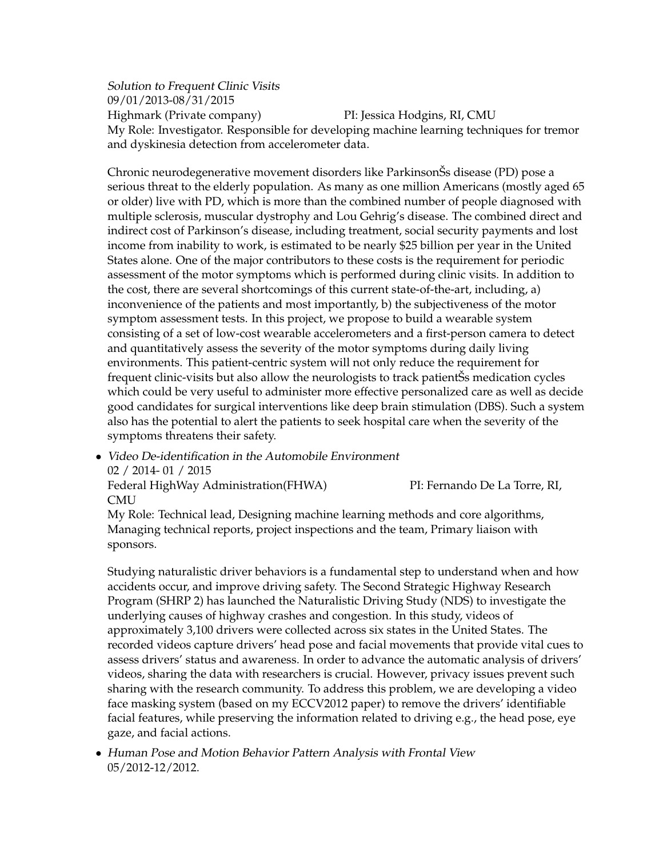Solution to Frequent Clinic Visits 09/01/2013-08/31/2015 Highmark (Private company) PI: Jessica Hodgins, RI, CMU My Role: Investigator. Responsible for developing machine learning techniques for tremor and dyskinesia detection from accelerometer data.

Chronic neurodegenerative movement disorders like ParkinsonŠs disease (PD) pose a serious threat to the elderly population. As many as one million Americans (mostly aged 65 or older) live with PD, which is more than the combined number of people diagnosed with multiple sclerosis, muscular dystrophy and Lou Gehrig's disease. The combined direct and indirect cost of Parkinson's disease, including treatment, social security payments and lost income from inability to work, is estimated to be nearly \$25 billion per year in the United States alone. One of the major contributors to these costs is the requirement for periodic assessment of the motor symptoms which is performed during clinic visits. In addition to the cost, there are several shortcomings of this current state-of-the-art, including, a) inconvenience of the patients and most importantly, b) the subjectiveness of the motor symptom assessment tests. In this project, we propose to build a wearable system consisting of a set of low-cost wearable accelerometers and a first-person camera to detect and quantitatively assess the severity of the motor symptoms during daily living environments. This patient-centric system will not only reduce the requirement for frequent clinic-visits but also allow the neurologists to track patientŠs medication cycles which could be very useful to administer more effective personalized care as well as decide good candidates for surgical interventions like deep brain stimulation (DBS). Such a system also has the potential to alert the patients to seek hospital care when the severity of the symptoms threatens their safety.

• Video De-identification in the Automobile Environment 02 / 2014- 01 / 2015 Federal HighWay Administration(FHWA) PI: Fernando De La Torre, RI,

CMU

My Role: Technical lead, Designing machine learning methods and core algorithms, Managing technical reports, project inspections and the team, Primary liaison with sponsors.

Studying naturalistic driver behaviors is a fundamental step to understand when and how accidents occur, and improve driving safety. The Second Strategic Highway Research Program (SHRP 2) has launched the Naturalistic Driving Study (NDS) to investigate the underlying causes of highway crashes and congestion. In this study, videos of approximately 3,100 drivers were collected across six states in the United States. The recorded videos capture drivers' head pose and facial movements that provide vital cues to assess drivers' status and awareness. In order to advance the automatic analysis of drivers' videos, sharing the data with researchers is crucial. However, privacy issues prevent such sharing with the research community. To address this problem, we are developing a video face masking system (based on my ECCV2012 paper) to remove the drivers' identifiable facial features, while preserving the information related to driving e.g., the head pose, eye gaze, and facial actions.

• Human Pose and Motion Behavior Pattern Analysis with Frontal View 05/2012-12/2012.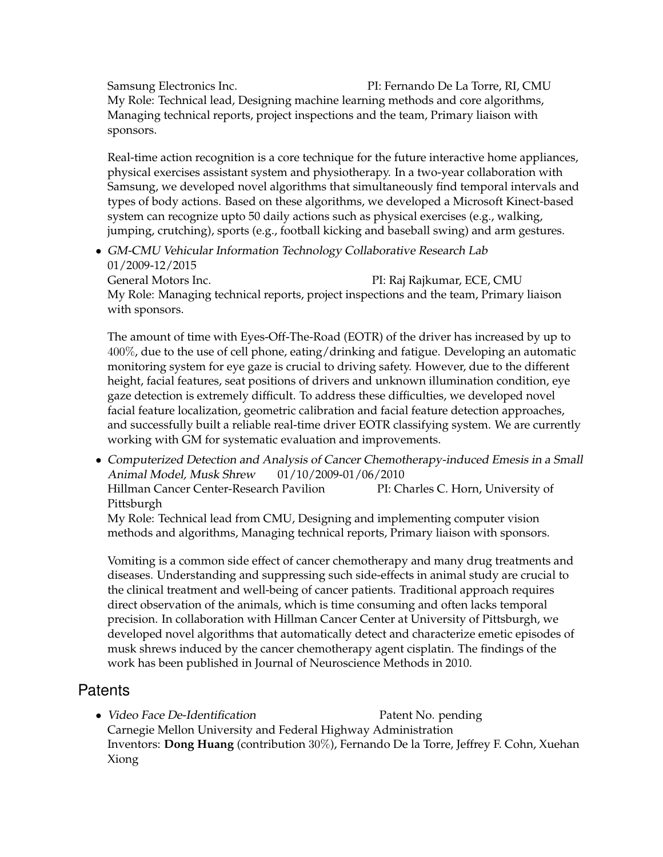Samsung Electronics Inc. PI: Fernando De La Torre, RI, CMU My Role: Technical lead, Designing machine learning methods and core algorithms, Managing technical reports, project inspections and the team, Primary liaison with sponsors.

Real-time action recognition is a core technique for the future interactive home appliances, physical exercises assistant system and physiotherapy. In a two-year collaboration with Samsung, we developed novel algorithms that simultaneously find temporal intervals and types of body actions. Based on these algorithms, we developed a Microsoft Kinect-based system can recognize upto 50 daily actions such as physical exercises (e.g., walking, jumping, crutching), sports (e.g., football kicking and baseball swing) and arm gestures.

• GM-CMU Vehicular Information Technology Collaborative Research Lab 01/2009-12/2015 General Motors Inc. The PI: Raj Rajkumar, ECE, CMU

My Role: Managing technical reports, project inspections and the team, Primary liaison with sponsors.

The amount of time with Eyes-Off-The-Road (EOTR) of the driver has increased by up to 400%, due to the use of cell phone, eating/drinking and fatigue. Developing an automatic monitoring system for eye gaze is crucial to driving safety. However, due to the different height, facial features, seat positions of drivers and unknown illumination condition, eye gaze detection is extremely difficult. To address these difficulties, we developed novel facial feature localization, geometric calibration and facial feature detection approaches, and successfully built a reliable real-time driver EOTR classifying system. We are currently working with GM for systematic evaluation and improvements.

• Computerized Detection and Analysis of Cancer Chemotherapy-induced Emesis in a Small Animal Model, Musk Shrew 01/10/2009-01/06/2010 Hillman Cancer Center-Research Pavilion PI: Charles C. Horn, University of Pittsburgh

My Role: Technical lead from CMU, Designing and implementing computer vision methods and algorithms, Managing technical reports, Primary liaison with sponsors.

Vomiting is a common side effect of cancer chemotherapy and many drug treatments and diseases. Understanding and suppressing such side-effects in animal study are crucial to the clinical treatment and well-being of cancer patients. Traditional approach requires direct observation of the animals, which is time consuming and often lacks temporal precision. In collaboration with Hillman Cancer Center at University of Pittsburgh, we developed novel algorithms that automatically detect and characterize emetic episodes of musk shrews induced by the cancer chemotherapy agent cisplatin. The findings of the work has been published in Journal of Neuroscience Methods in 2010.

# **Patents**

• Video Face De-Identification Patent No. pending Carnegie Mellon University and Federal Highway Administration Inventors: **Dong Huang** (contribution 30%), Fernando De la Torre, Jeffrey F. Cohn, Xuehan Xiong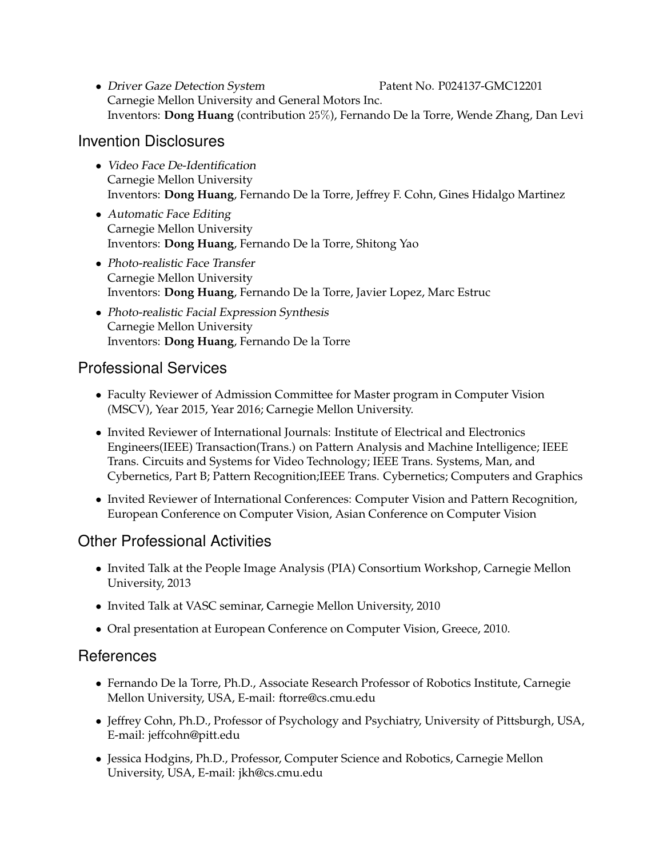• Driver Gaze Detection System Patent No. P024137-GMC12201 Carnegie Mellon University and General Motors Inc. Inventors: **Dong Huang** (contribution 25%), Fernando De la Torre, Wende Zhang, Dan Levi

#### Invention Disclosures

- Video Face De-Identification Carnegie Mellon University Inventors: **Dong Huang**, Fernando De la Torre, Jeffrey F. Cohn, Gines Hidalgo Martinez
- Automatic Face Editing Carnegie Mellon University Inventors: **Dong Huang**, Fernando De la Torre, Shitong Yao
- Photo-realistic Face Transfer Carnegie Mellon University Inventors: **Dong Huang**, Fernando De la Torre, Javier Lopez, Marc Estruc
- Photo-realistic Facial Expression Synthesis Carnegie Mellon University Inventors: **Dong Huang**, Fernando De la Torre

# Professional Services

- Faculty Reviewer of Admission Committee for Master program in Computer Vision (MSCV), Year 2015, Year 2016; Carnegie Mellon University.
- Invited Reviewer of International Journals: Institute of Electrical and Electronics Engineers(IEEE) Transaction(Trans.) on Pattern Analysis and Machine Intelligence; IEEE Trans. Circuits and Systems for Video Technology; IEEE Trans. Systems, Man, and Cybernetics, Part B; Pattern Recognition;IEEE Trans. Cybernetics; Computers and Graphics
- Invited Reviewer of International Conferences: Computer Vision and Pattern Recognition, European Conference on Computer Vision, Asian Conference on Computer Vision

# Other Professional Activities

- Invited Talk at the People Image Analysis (PIA) Consortium Workshop, Carnegie Mellon University, 2013
- Invited Talk at VASC seminar, Carnegie Mellon University, 2010
- Oral presentation at European Conference on Computer Vision, Greece, 2010.

# **References**

- Fernando De la Torre, Ph.D., Associate Research Professor of Robotics Institute, Carnegie Mellon University, USA, E-mail: ftorre@cs.cmu.edu
- Jeffrey Cohn, Ph.D., Professor of Psychology and Psychiatry, University of Pittsburgh, USA, E-mail: jeffcohn@pitt.edu
- Jessica Hodgins, Ph.D., Professor, Computer Science and Robotics, Carnegie Mellon University, USA, E-mail: jkh@cs.cmu.edu